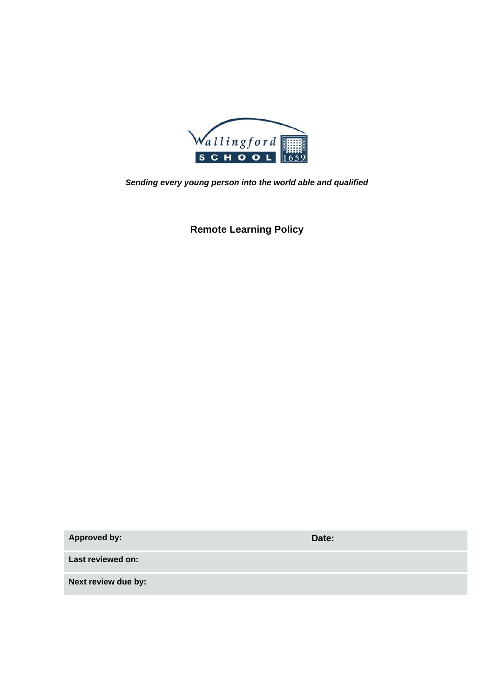

*Sending every young person into the world able and qualified*

**Remote Learning Policy**

**Approved by: Date:**

**Last reviewed on:**

**Next review due by:**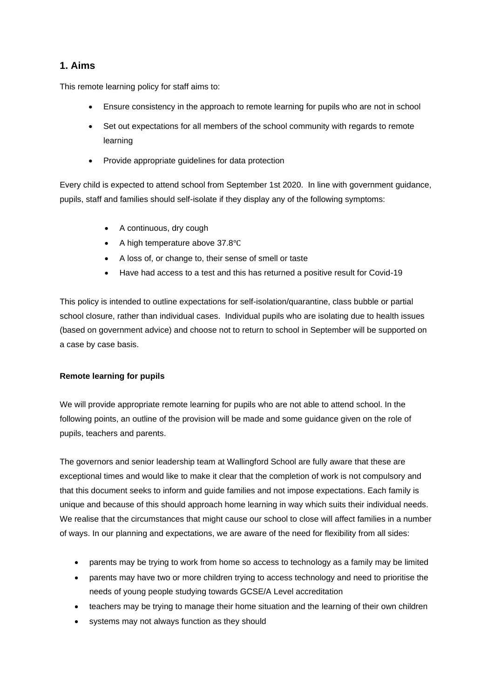# **1. Aims**

This remote learning policy for staff aims to:

- Ensure consistency in the approach to remote learning for pupils who are not in school
- Set out expectations for all members of the school community with regards to remote learning
- Provide appropriate guidelines for data protection

Every child is expected to attend school from September 1st 2020. In line with government guidance, pupils, staff and families should self-isolate if they display any of the following symptoms:

- A continuous, dry cough
- A high temperature above 37.8℃
- A loss of, or change to, their sense of smell or taste
- Have had access to a test and this has returned a positive result for Covid-19

This policy is intended to outline expectations for self-isolation/quarantine, class bubble or partial school closure, rather than individual cases. Individual pupils who are isolating due to health issues (based on government advice) and choose not to return to school in September will be supported on a case by case basis.

#### **Remote learning for pupils**

We will provide appropriate remote learning for pupils who are not able to attend school. In the following points, an outline of the provision will be made and some guidance given on the role of pupils, teachers and parents.

The governors and senior leadership team at Wallingford School are fully aware that these are exceptional times and would like to make it clear that the completion of work is not compulsory and that this document seeks to inform and guide families and not impose expectations. Each family is unique and because of this should approach home learning in way which suits their individual needs. We realise that the circumstances that might cause our school to close will affect families in a number of ways. In our planning and expectations, we are aware of the need for flexibility from all sides:

- parents may be trying to work from home so access to technology as a family may be limited
- parents may have two or more children trying to access technology and need to prioritise the needs of young people studying towards GCSE/A Level accreditation
- teachers may be trying to manage their home situation and the learning of their own children
- systems may not always function as they should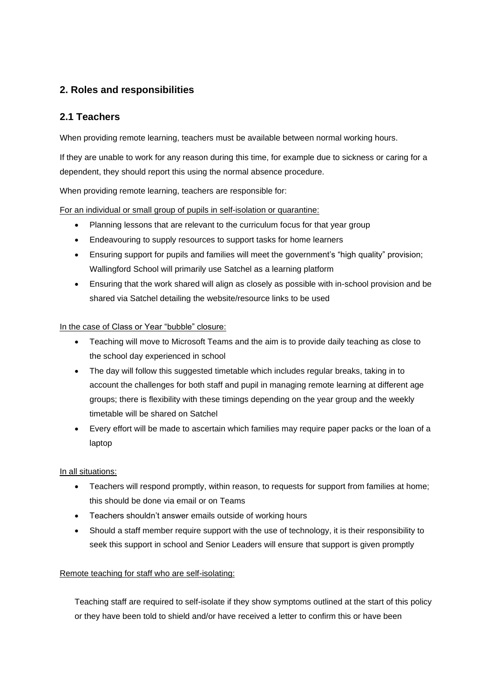# **2. Roles and responsibilities**

## **2.1 Teachers**

When providing remote learning, teachers must be available between normal working hours.

If they are unable to work for any reason during this time, for example due to sickness or caring for a dependent, they should report this using the normal absence procedure.

When providing remote learning, teachers are responsible for:

For an individual or small group of pupils in self-isolation or quarantine:

- Planning lessons that are relevant to the curriculum focus for that year group
- Endeavouring to supply resources to support tasks for home learners
- Ensuring support for pupils and families will meet the government's "high quality" provision; Wallingford School will primarily use Satchel as a learning platform
- Ensuring that the work shared will align as closely as possible with in-school provision and be shared via Satchel detailing the website/resource links to be used

#### In the case of Class or Year "bubble" closure:

- Teaching will move to Microsoft Teams and the aim is to provide daily teaching as close to the school day experienced in school
- The day will follow this suggested timetable which includes regular breaks, taking in to account the challenges for both staff and pupil in managing remote learning at different age groups; there is flexibility with these timings depending on the year group and the weekly timetable will be shared on Satchel
- Every effort will be made to ascertain which families may require paper packs or the loan of a laptop

#### In all situations:

- Teachers will respond promptly, within reason, to requests for support from families at home; this should be done via email or on Teams
- Teachers shouldn't answer emails outside of working hours
- Should a staff member require support with the use of technology, it is their responsibility to seek this support in school and Senior Leaders will ensure that support is given promptly

#### Remote teaching for staff who are self-isolating:

Teaching staff are required to self-isolate if they show symptoms outlined at the start of this policy or they have been told to shield and/or have received a letter to confirm this or have been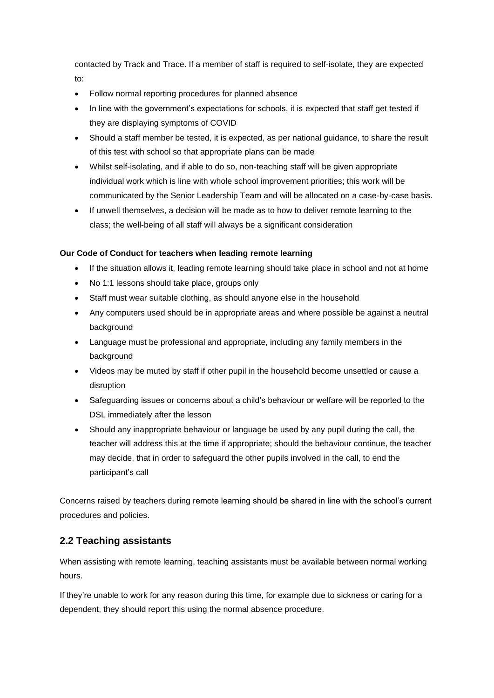contacted by Track and Trace. If a member of staff is required to self-isolate, they are expected to:

- Follow normal reporting procedures for planned absence
- In line with the government's expectations for schools, it is expected that staff get tested if they are displaying symptoms of COVID
- Should a staff member be tested, it is expected, as per national guidance, to share the result of this test with school so that appropriate plans can be made
- Whilst self-isolating, and if able to do so, non-teaching staff will be given appropriate individual work which is line with whole school improvement priorities; this work will be communicated by the Senior Leadership Team and will be allocated on a case-by-case basis.
- If unwell themselves, a decision will be made as to how to deliver remote learning to the class; the well-being of all staff will always be a significant consideration

#### **Our Code of Conduct for teachers when leading remote learning**

- If the situation allows it, leading remote learning should take place in school and not at home
- No 1:1 lessons should take place, groups only
- Staff must wear suitable clothing, as should anyone else in the household
- Any computers used should be in appropriate areas and where possible be against a neutral background
- Language must be professional and appropriate, including any family members in the background
- Videos may be muted by staff if other pupil in the household become unsettled or cause a disruption
- Safeguarding issues or concerns about a child's behaviour or welfare will be reported to the DSL immediately after the lesson
- Should any inappropriate behaviour or language be used by any pupil during the call, the teacher will address this at the time if appropriate; should the behaviour continue, the teacher may decide, that in order to safeguard the other pupils involved in the call, to end the participant's call

Concerns raised by teachers during remote learning should be shared in line with the school's current procedures and policies.

## **2.2 Teaching assistants**

When assisting with remote learning, teaching assistants must be available between normal working hours.

If they're unable to work for any reason during this time, for example due to sickness or caring for a dependent, they should report this using the normal absence procedure.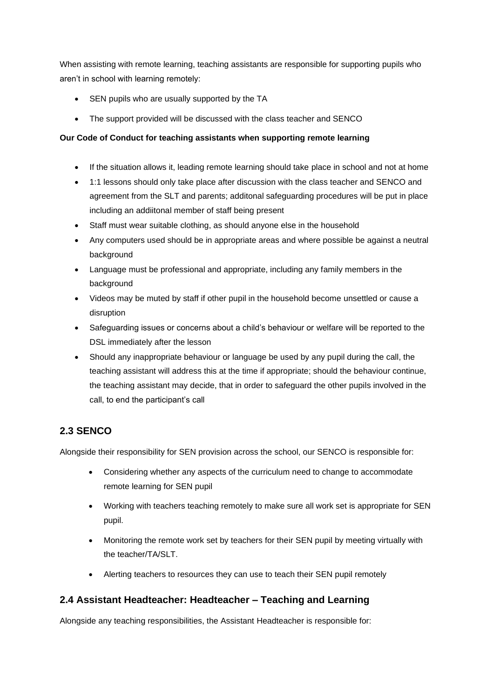When assisting with remote learning, teaching assistants are responsible for supporting pupils who aren't in school with learning remotely:

- SEN pupils who are usually supported by the TA
- The support provided will be discussed with the class teacher and SENCO

#### **Our Code of Conduct for teaching assistants when supporting remote learning**

- If the situation allows it, leading remote learning should take place in school and not at home
- 1:1 lessons should only take place after discussion with the class teacher and SENCO and agreement from the SLT and parents; additonal safeguarding procedures will be put in place including an addiitonal member of staff being present
- Staff must wear suitable clothing, as should anyone else in the household
- Any computers used should be in appropriate areas and where possible be against a neutral background
- Language must be professional and appropriate, including any family members in the background
- Videos may be muted by staff if other pupil in the household become unsettled or cause a disruption
- Safeguarding issues or concerns about a child's behaviour or welfare will be reported to the DSL immediately after the lesson
- Should any inappropriate behaviour or language be used by any pupil during the call, the teaching assistant will address this at the time if appropriate; should the behaviour continue, the teaching assistant may decide, that in order to safeguard the other pupils involved in the call, to end the participant's call

# **2.3 SENCO**

Alongside their responsibility for SEN provision across the school, our SENCO is responsible for:

- Considering whether any aspects of the curriculum need to change to accommodate remote learning for SEN pupil
- Working with teachers teaching remotely to make sure all work set is appropriate for SEN pupil.
- Monitoring the remote work set by teachers for their SEN pupil by meeting virtually with the teacher/TA/SLT.
- Alerting teachers to resources they can use to teach their SEN pupil remotely

# **2.4 Assistant Headteacher: Headteacher – Teaching and Learning**

Alongside any teaching responsibilities, the Assistant Headteacher is responsible for: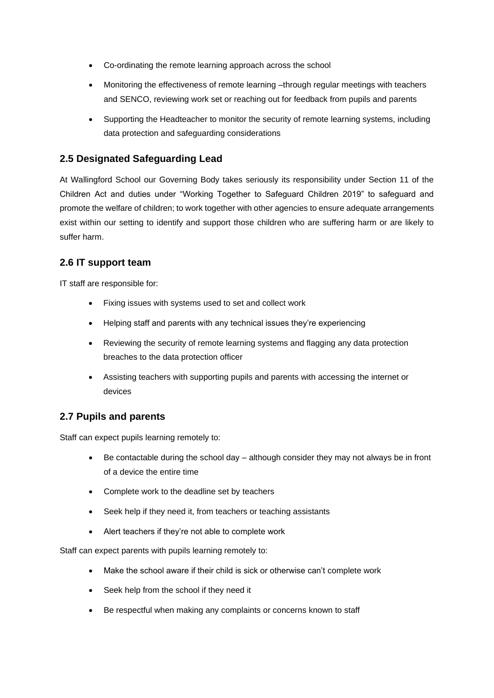- Co-ordinating the remote learning approach across the school
- Monitoring the effectiveness of remote learning –through regular meetings with teachers and SENCO, reviewing work set or reaching out for feedback from pupils and parents
- Supporting the Headteacher to monitor the security of remote learning systems, including data protection and safeguarding considerations

## **2.5 Designated Safeguarding Lead**

At Wallingford School our Governing Body takes seriously its responsibility under Section 11 of the Children Act and duties under "Working Together to Safeguard Children 2019" to safeguard and promote the welfare of children; to work together with other agencies to ensure adequate arrangements exist within our setting to identify and support those children who are suffering harm or are likely to suffer harm.

## **2.6 IT support team**

IT staff are responsible for:

- Fixing issues with systems used to set and collect work
- Helping staff and parents with any technical issues they're experiencing
- Reviewing the security of remote learning systems and flagging any data protection breaches to the data protection officer
- Assisting teachers with supporting pupils and parents with accessing the internet or devices

## **2.7 Pupils and parents**

Staff can expect pupils learning remotely to:

- Be contactable during the school day  $-$  although consider they may not always be in front of a device the entire time
- Complete work to the deadline set by teachers
- Seek help if they need it, from teachers or teaching assistants
- Alert teachers if they're not able to complete work

Staff can expect parents with pupils learning remotely to:

- Make the school aware if their child is sick or otherwise can't complete work
- Seek help from the school if they need it
- Be respectful when making any complaints or concerns known to staff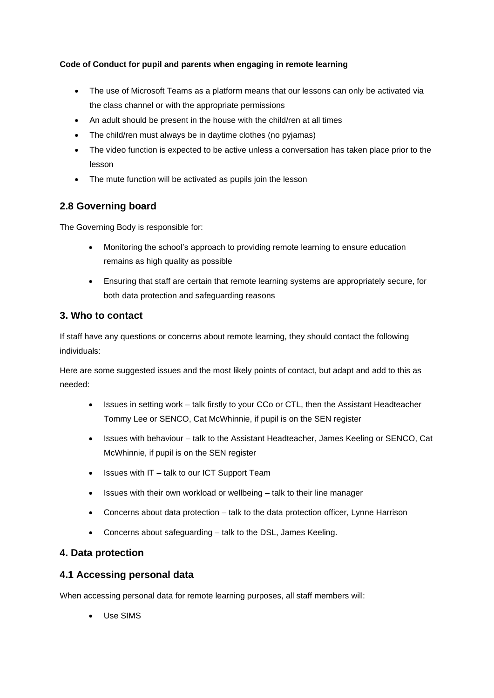#### **Code of Conduct for pupil and parents when engaging in remote learning**

- The use of Microsoft Teams as a platform means that our lessons can only be activated via the class channel or with the appropriate permissions
- An adult should be present in the house with the child/ren at all times
- The child/ren must always be in daytime clothes (no pyjamas)
- The video function is expected to be active unless a conversation has taken place prior to the lesson
- The mute function will be activated as pupils join the lesson

# **2.8 Governing board**

The Governing Body is responsible for:

- Monitoring the school's approach to providing remote learning to ensure education remains as high quality as possible
- Ensuring that staff are certain that remote learning systems are appropriately secure, for both data protection and safeguarding reasons

## **3. Who to contact**

If staff have any questions or concerns about remote learning, they should contact the following individuals:

Here are some suggested issues and the most likely points of contact, but adapt and add to this as needed:

- Issues in setting work talk firstly to your CCo or CTL, then the Assistant Headteacher Tommy Lee or SENCO, Cat McWhinnie, if pupil is on the SEN register
- Issues with behaviour talk to the Assistant Headteacher, James Keeling or SENCO, Cat McWhinnie, if pupil is on the SEN register
- Issues with IT talk to our ICT Support Team
- Issues with their own workload or wellbeing talk to their line manager
- Concerns about data protection talk to the data protection officer, Lynne Harrison
- Concerns about safeguarding talk to the DSL, James Keeling.

## **4. Data protection**

## **4.1 Accessing personal data**

When accessing personal data for remote learning purposes, all staff members will:

• Use SIMS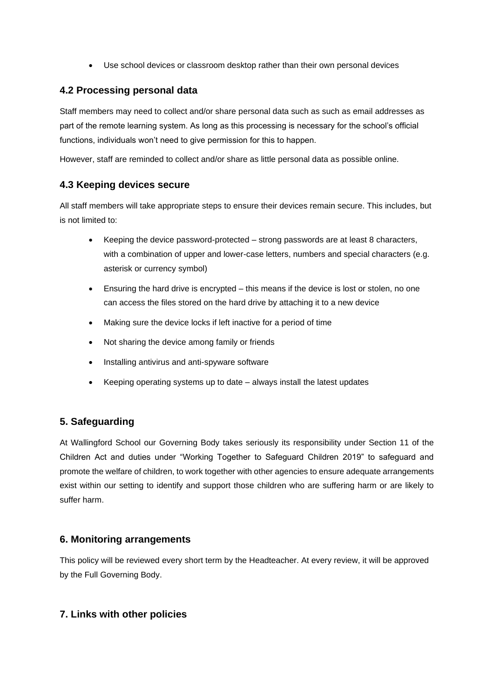• Use school devices or classroom desktop rather than their own personal devices

## **4.2 Processing personal data**

Staff members may need to collect and/or share personal data such as such as email addresses as part of the remote learning system. As long as this processing is necessary for the school's official functions, individuals won't need to give permission for this to happen.

However, staff are reminded to collect and/or share as little personal data as possible online.

## **4.3 Keeping devices secure**

All staff members will take appropriate steps to ensure their devices remain secure. This includes, but is not limited to:

- Keeping the device password-protected strong passwords are at least 8 characters, with a combination of upper and lower-case letters, numbers and special characters (e.g. asterisk or currency symbol)
- Ensuring the hard drive is encrypted this means if the device is lost or stolen, no one can access the files stored on the hard drive by attaching it to a new device
- Making sure the device locks if left inactive for a period of time
- Not sharing the device among family or friends
- Installing antivirus and anti-spyware software
- Keeping operating systems up to date always install the latest updates

## **5. Safeguarding**

At Wallingford School our Governing Body takes seriously its responsibility under Section 11 of the Children Act and duties under "Working Together to Safeguard Children 2019" to safeguard and promote the welfare of children, to work together with other agencies to ensure adequate arrangements exist within our setting to identify and support those children who are suffering harm or are likely to suffer harm.

## **6. Monitoring arrangements**

This policy will be reviewed every short term by the Headteacher. At every review, it will be approved by the Full Governing Body.

## **7. Links with other policies**